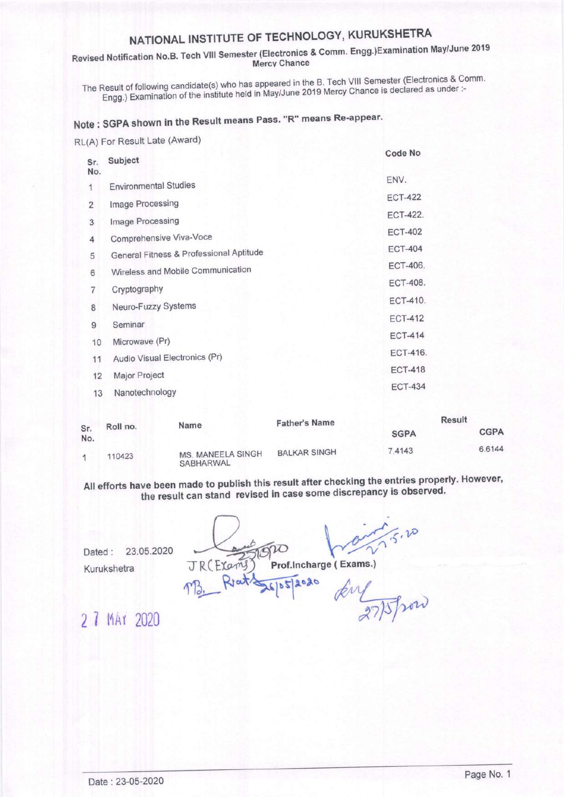# NATIONAL INSTITUTE OF TECHNOLOGY, KURUKSHETRA

Revised Notification No.B. Tech VIII Semester (Electronics & Comm. Engg.)Examination May/June 2019 **Mercy Chance** 

The Result of following candidate(s) who has appeared in the B. Tech VIII Semester (Electronics & Comm. Engg.) Examination of the institute held in May/June 2019 Mercy Chance is declared as under :-

# Note: SGPA shown in the Result means Pass. "R" means Re-appear.

RL(A) For Result Late (Award)

| Sr.            | Subject                                 | Code No         |
|----------------|-----------------------------------------|-----------------|
| No.            |                                         | ENV.            |
| 1              | <b>Environmental Studies</b>            | <b>ECT-422</b>  |
| $\overline{2}$ | Image Processing                        |                 |
| 3              | Image Processing                        | <b>ECT-422.</b> |
| 4              | Comprehensive Viva-Voce                 | <b>ECT-402</b>  |
| 5              | General Fitness & Professional Aptitude | <b>ECT-404</b>  |
| 6              | Wireless and Mobile Communication       | <b>ECT-406.</b> |
| 7              | Cryptography                            | <b>ECT-408.</b> |
| 8              | Neuro-Fuzzy Systems                     | <b>ECT-410.</b> |
| 9              | Seminar                                 | <b>ECT-412</b>  |
| 10             | Microwave (Pr)                          | <b>ECT-414</b>  |
| 11             | Audio Visual Electronics (Pr)           | ECT-416.        |
| 12             | Major Project                           | <b>ECT-418</b>  |
| 13             | Nanotechnology                          | <b>ECT-434</b>  |
|                |                                         |                 |

|            |          |                                | <b>Father's Name</b> |             | Result      |
|------------|----------|--------------------------------|----------------------|-------------|-------------|
| Sr.<br>No. | Roll no. | Name                           |                      | <b>SGPA</b> | <b>CGPA</b> |
|            | 110423   | MS. MANEELA SINGH<br>SARHARWAL | <b>BALKAR SINGH</b>  | 7.4143      | 6.6144      |

All efforts have been made to publish this result after checking the entries properly. However, the result can stand revised in case some discrepancy is observed.

 $5.20$ R (Frams Prof.Incharge (Exams.)  $9080$ kin Whow

23.05.2020 Dated: Kurukshetra

2 7 MAY 2020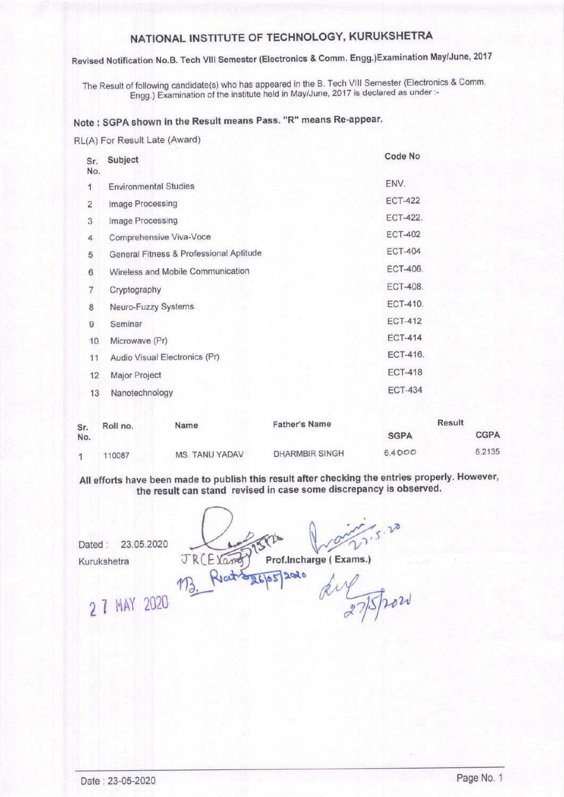## NATIoNAL INSTITUTE oF TEGHNoLoGY, KURUKSHETRA

## Revised Notification No.B. Tech Vlll Semester (Electronics & Comm. Engg.)Examination May/June, <sup>2017</sup>

The Result of following candidate(s) who has appeared in the B. Tech Vlll Semester (Electronics & Comm' Engg.) Examination of the institute held in May/June, 2017 is declared as under :-

## Note : \$GPA shown in the Result means Pass. "R" means Re-appear.

RL(A) For Result Late (Award)

| Sr.<br>No.     | Subject                                 | Code No         |
|----------------|-----------------------------------------|-----------------|
| 1              | <b>Environmental Studies</b>            | ENV.            |
| $\overline{2}$ | Image Processing                        | <b>ECT-422</b>  |
| 3              | Image Processing                        | ECT-422.        |
| 4              | Comprehensive Viva-Voce                 | <b>ECT-402</b>  |
| 5              | General Fitness & Professional Aptitude | <b>ECT-404</b>  |
| 6              | Wireless and Mobile Communication       | <b>ECT-406.</b> |
| 7              | Cryptography                            | <b>ECT-408.</b> |
| 8              | Neuro-Fuzzy Systems                     | ECT-410.        |
| 9              | Seminar                                 | <b>ECT-412</b>  |
| 10             | Microwave (Pr)                          | <b>ECT-414</b>  |
| 11             | Audio Visual Electronics (Pr)           | <b>ECT-416.</b> |
| 12             | Major Project                           | <b>ECT-418</b>  |
| 13             | Nanotechnology                          | <b>ECT-434</b>  |
|                |                                         |                 |

| Sr. | Roll no. | Name           | <b>Father's Name</b>  |             | <b>Result</b> |
|-----|----------|----------------|-----------------------|-------------|---------------|
| No. |          |                |                       | <b>SGPA</b> | <b>CGPA</b>   |
|     | 110087   | MS. TANU YADAV | <b>DHARMBIR SINGH</b> | 6.4000      | 6.2135        |

All efforts have been made to publish this result after checking the entries properly. However, the result can stand revised in case some discrepancy is observed.

23.05.2020 Dated: Kurukshetra

JR(E) Cant  $Q^*$ <br>Prof.Incharge (Exams.)

2020

 $4a + 4a + 165$ 

275/2020

2 7 MAY 2020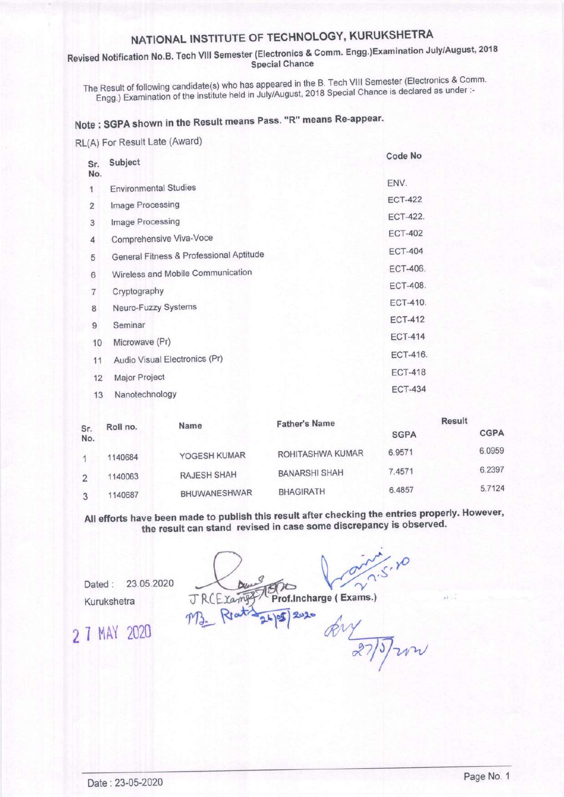# NATIONAL INSTITUTE OF TECHNOLOGY, KURUKSHETRA

#### Revised Notification No.B. Tech VIII Semester (Electronics & Comm. Engg.)Examination July/August, 2018 Special Chance

The Result of following candidate(s) who has appeared in the B. Tech VIII Semester (Electronics & Comm. Engg.) Examination of the institute held in July/August, 2018 Special Chance is declared as under:-

# Note: SGPA shown in the Result means Pass. "R" means Re-appear.

RL(A) For Result Late (Award)

| Sr.            | Subject                                 | Code No         |
|----------------|-----------------------------------------|-----------------|
| No.            |                                         | ENV.            |
| 1              | <b>Environmental Studies</b>            |                 |
| $\overline{2}$ | Image Processing                        | <b>ECT-422</b>  |
| 3              | Image Processing                        | <b>ECT-422.</b> |
| 4              | Comprehensive Viva-Voce                 | <b>ECT-402</b>  |
| 5              | General Fitness & Professional Aptitude | <b>ECT-404</b>  |
| 6              | Wireless and Mobile Communication       | <b>ECT-406.</b> |
| $\overline{7}$ | Cryptography                            | <b>ECT-408.</b> |
| 8              | Neuro-Fuzzy Systems                     | <b>ECT-410.</b> |
| 9              | Seminar                                 | <b>ECT-412</b>  |
| 10             | Microwave (Pr)                          | <b>ECT-414</b>  |
| 11             | Audio Visual Electronics (Pr)           | ECT-416.        |
| 12             | Major Project                           | <b>ECT-418</b>  |
| 13             | Nanotechnology                          | <b>ECT-434</b>  |
|                |                                         |                 |

|            |          | Name         | <b>Father's Name</b> | Result      |             |
|------------|----------|--------------|----------------------|-------------|-------------|
| Sr.<br>No. | Roll no. |              |                      | <b>SGPA</b> | <b>CGPA</b> |
|            | 1140684  | YOGESH KUMAR | ROHITASHWA KUMAR     | 6.9571      | 6.0959      |
| 2          | 1140063  | RAJESH SHAH  | <b>BANARSHI SHAH</b> | 7.4571      | 6.2397      |
|            | 1140687  | BHUWANESHWAR | <b>BHAGIRATH</b>     | 6.4857      | 5.7124      |

All efforts have been made to publish this result after checking the entries properly. However, the result can stand revised in case some discrepancy is observed.

Dated : 23.05.2020 Kurukshetra

 $\overline{\sim}$  $\eta$ 

2 7 MAY 2020

Xamy Prof.Incharge ( Exams.)

 $m_{2}$  Reat  $\frac{1}{24}$   $\frac{1}{2}$   $\frac{1}{2}$   $\frac{1}{2}$   $\frac{1}{2}$   $\frac{1}{2}$ vyal/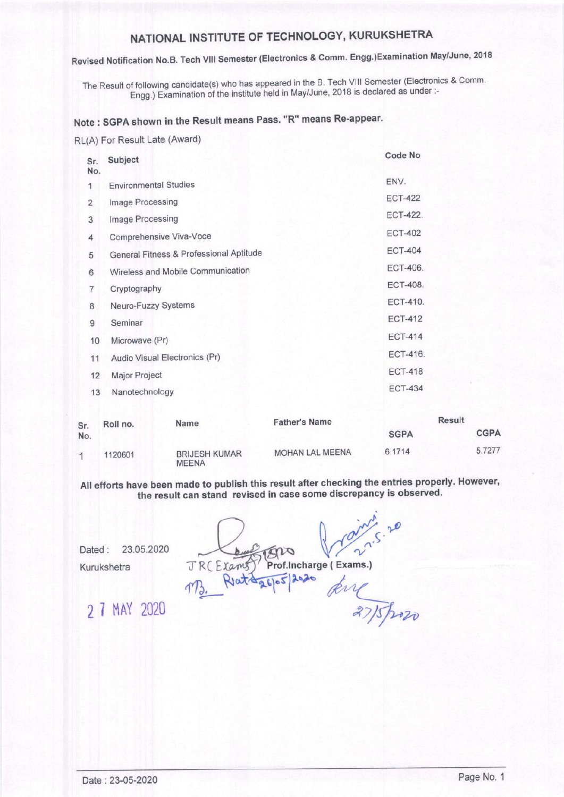## NATIONAL INSTITUTE OF TECHNOLOGY, KURUKSHETRA

## Revised Notification No.B. Tech VIII Semester (Electronics & Comm. Engg.)Examination May/June, 2018

The Result of following candidate(s) who has appeared in the B. Tech VIII Semester (Electronics & Comm. Engg.) Examination of the institute held in May/June, 2018 is declared as under :-

## Note : SGPA shown in the Result means Pass. "R" means Re'appear.

#### RL(A) For Result Late (Award)

| Sr.<br>No. | Subject                                 | Code No         |
|------------|-----------------------------------------|-----------------|
| 1          | <b>Environmental Studies</b>            | ENV.            |
| 2          | Image Processing                        | <b>ECT-422</b>  |
| 3          | Image Processing                        | <b>ECT-422.</b> |
| 4          | Comprehensive Viva-Voce                 | <b>ECT-402</b>  |
| 5          | General Fitness & Professional Aptitude | <b>ECT-404</b>  |
| 6          | Wireless and Mobile Communication       | <b>ECT-406.</b> |
| 7          | Cryptography                            | <b>ECT-408.</b> |
| 8          | Neuro-Fuzzy Systems                     | ECT-410.        |
| 9          | Seminar                                 | <b>ECT-412</b>  |
| 10         | Microwave (Pr)                          | <b>ECT-414</b>  |
| 11         | Audio Visual Electronics (Pr)           | ECT-416.        |
| 12         | Major Project                           | <b>ECT-418</b>  |
| 13         | Nanotechnology                          | <b>ECT-434</b>  |
|            |                                         |                 |

| Sr. | Roll no. | Name                                 | <b>Father's Name</b> | Result      |             |
|-----|----------|--------------------------------------|----------------------|-------------|-------------|
| No. |          |                                      |                      | <b>SGPA</b> | <b>CGPA</b> |
|     | 1120601  | <b>BRIJESH KUMAR</b><br><b>MEENA</b> | MOHAN LAL MEENA      | 6.1714      | 5.7277      |

All efforts have been made to publish this result after checking the entries properly. However, the result can stand revised in case some discrepancy is observed.

Dated: 23.05.2020 Kurukshetra

22.5.20 TENO RCE Lams Prof. Incharge (Exams.)

MB. Rata 26/05/2020 Kill 27 MAY 2020  $\sqrt{37/5}$